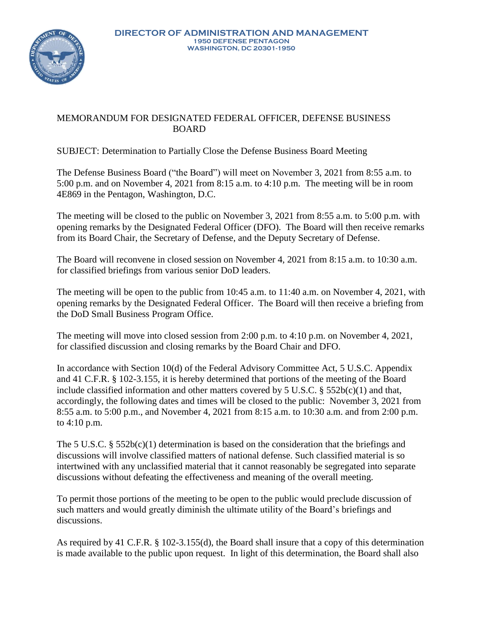

## MEMORANDUM FOR DESIGNATED FEDERAL OFFICER, DEFENSE BUSINESS BOARD

## SUBJECT: Determination to Partially Close the Defense Business Board Meeting

The Defense Business Board ("the Board") will meet on November 3, 2021 from 8:55 a.m. to 5:00 p.m. and on November 4, 2021 from 8:15 a.m. to 4:10 p.m. The meeting will be in room 4E869 in the Pentagon, Washington, D.C.

The meeting will be closed to the public on November 3, 2021 from 8:55 a.m. to 5:00 p.m. with opening remarks by the Designated Federal Officer (DFO). The Board will then receive remarks from its Board Chair, the Secretary of Defense, and the Deputy Secretary of Defense.

The Board will reconvene in closed session on November 4, 2021 from 8:15 a.m. to 10:30 a.m. for classified briefings from various senior DoD leaders.

The meeting will be open to the public from 10:45 a.m. to 11:40 a.m. on November 4, 2021, with opening remarks by the Designated Federal Officer. The Board will then receive a briefing from the DoD Small Business Program Office.

The meeting will move into closed session from 2:00 p.m. to 4:10 p.m. on November 4, 2021, for classified discussion and closing remarks by the Board Chair and DFO.

In accordance with Section 10(d) of the Federal Advisory Committee Act, 5 U.S.C. Appendix and 41 C.F.R. § 102-3.155, it is hereby determined that portions of the meeting of the Board include classified information and other matters covered by 5 U.S.C. § 552b(c)(1) and that, accordingly, the following dates and times will be closed to the public: November 3, 2021 from 8:55 a.m. to 5:00 p.m., and November 4, 2021 from 8:15 a.m. to 10:30 a.m. and from 2:00 p.m. to 4:10 p.m.

The 5 U.S.C. §  $552b(c)(1)$  determination is based on the consideration that the briefings and discussions will involve classified matters of national defense. Such classified material is so intertwined with any unclassified material that it cannot reasonably be segregated into separate discussions without defeating the effectiveness and meaning of the overall meeting.

To permit those portions of the meeting to be open to the public would preclude discussion of such matters and would greatly diminish the ultimate utility of the Board's briefings and discussions.

As required by 41 C.F.R. § 102-3.155(d), the Board shall insure that a copy of this determination is made available to the public upon request. In light of this determination, the Board shall also